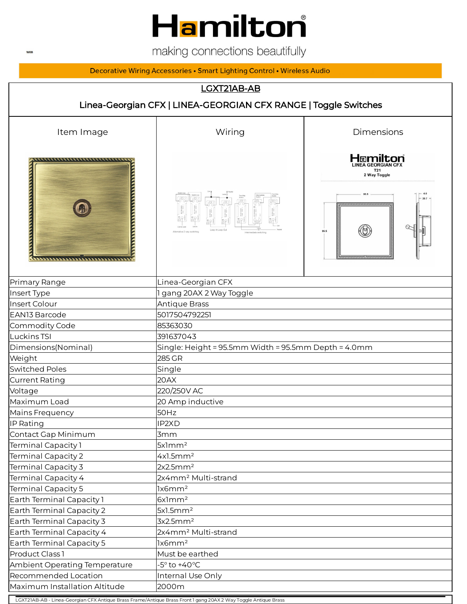

making connections beautifully

#### Decorative Wiring Accessories • Smart Lighting Control • Wireless Audio

### LGXT21AB-AB

# Linea-Georgian CFX | LINEA-GEORGIAN CFX RANGE | Toggle Switches Item Image The Contract Contract Contract Miring The Dimensions Hamilton ,,,,,,,,,,,,,,,,,,,,,,,,,,,,,,,,, LINEA GEORGIAN CF **TERRITORY STATES IN THE TERRITORY ANNOUNCER DESCRIPTION** 95.5  $\begin{picture}(180,10) \put(0,0){\line(1,0){10}} \put(0,0){\line(1,0){10}} \put(0,0){\line(1,0){10}} \put(0,0){\line(1,0){10}} \put(0,0){\line(1,0){10}} \put(0,0){\line(1,0){10}} \put(0,0){\line(1,0){10}} \put(0,0){\line(1,0){10}} \put(0,0){\line(1,0){10}} \put(0,0){\line(1,0){10}} \put(0,0){\line(1,0){10}} \put(0,0){\line(1,0){10}} \put(0$  $\circledS$ Primary Range Linea-Georgian CFX Insert Type 1 and 2008 1 gang 20AX 2 Way Toggle Insert Colour Antique Brass EAN13 Barcode 5017504792251 Commodity Code 85363030 Luckins TSI 391637043 Dimensions(Nominal) Single: Height = 95.5mm Width = 95.5mm Depth = 4.0mm Weight 285 GR Switched Poles **Single** Single Current Rating 20AX Voltage 220/250V AC Maximum Load 20 Amp inductive Mains Frequency **50Hz** IP Rating **IP** Rating **IP2XD** Contact Gap Minimum **3mm** Terminal Capacity 1 5x1mm<sup>2</sup>  $\text{Terminal Capacity 2} \quad |4x1.5\text{mm}^2$  $\text{Terminal Capacity 3} \qquad \qquad \text{2x2.5mm}^2$ Terminal Capacity 4 2x4mm² Multi-strand Terminal Capacity 5 1x6mm<sup>2</sup> Earth Terminal Capacity 1 6x1mm<sup>2</sup> Earth Terminal Capacity 2  $5x1.5mm<sup>2</sup>$ Earth Terminal Capacity 3  $3x2.5mm<sup>2</sup>$ Earth Terminal Capacity 4 2x4mm<sup>2</sup> Multi-strand Earth Terminal Capacity 5 1x6mm<sup>2</sup> Product Class 1 Must be earthed Ambient Operating Temperature  $-5^\circ$  to +40 $^\circ$ C Recommended Location **Internal Use Only** Maximum Installation Altitude **2000**m

LGXT21AB-AB - Linea-Georgian CFX Antique Brass Frame/Antique Brass Front 1 gang 20AX 2 Way Toggle Antique Brass

**WEB**